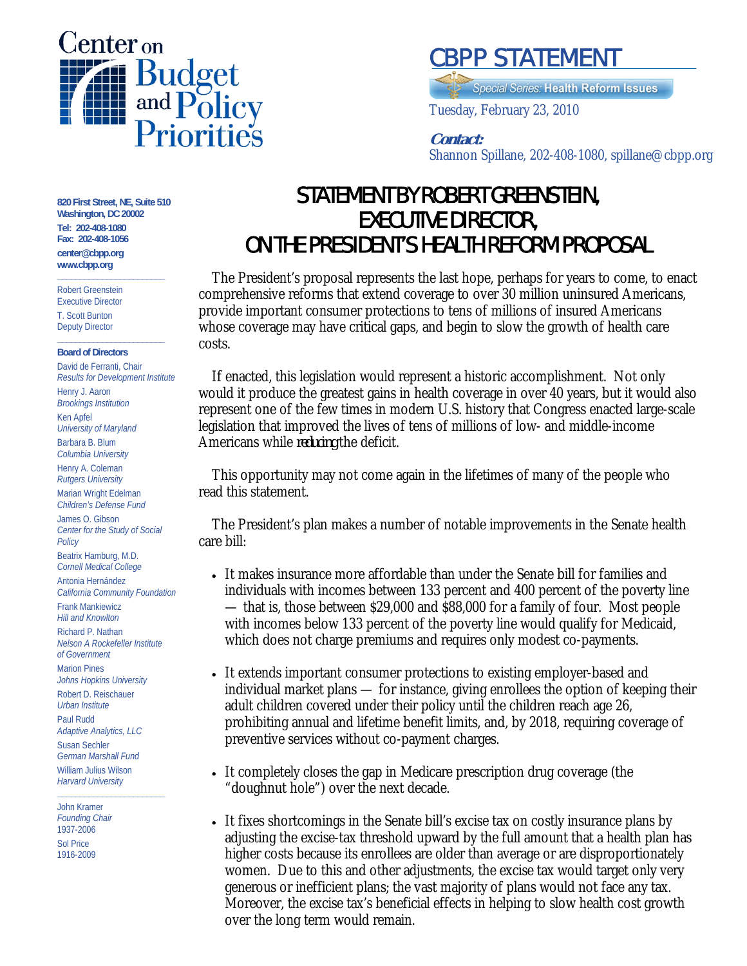

# CBPP STATEMENT

**Special Series: Health Reform Issues** 

Tuesday, February 23, 2010

### **Contact:**

 $\frac{1}{2}$ Shannon Spillane, 202-408-1080, spillane@cbpp.org

#### **820 First Street, NE, Suite 510 Washington, DC 20002 Tel: 202-408-1080 Fax: 202-408-1056**

**\_\_\_\_\_\_\_\_\_\_\_\_\_\_\_\_\_\_\_\_\_\_\_\_** 

**center@cbpp.org www.cbpp.org** 

Robert Greenstein Executive Director T. Scott Bunton

Deputy Director **\_\_\_\_\_\_\_\_\_\_\_\_\_\_\_\_\_\_\_\_\_\_\_\_**

#### **Board of Directors**

David de Ferranti, Chair *Results for Development Institute* Henry J. Aaron *Brookings Institution* Ken Apfel *University of Maryland* Barbara B. Blum *Columbia University* Henry A. Coleman *Rutgers University* Marian Wright Edelman *Children's Defense Fund* James O. Gibson *Center for the Study of Social Policy* Beatrix Hamburg, M.D. *Cornell Medical College* Antonia Hernández *California Community Foundation* Frank Mankiewicz *Hill and Knowlton* Richard P. Nathan *Nelson A Rockefeller Institute of Government* Marion Pines *Johns Hopkins University* Robert D. Reischauer *Urban Institute* Paul Rudd *Adaptive Analytics, LLC* Susan Sechler *German Marshall Fund* William Julius Wilson *Harvard University* **\_\_\_\_\_\_\_\_\_\_\_\_\_\_\_\_\_\_\_\_\_\_\_\_**

John Kramer *Founding Chair* 1937-2006 Sol Price 1916-2009

## STATEMENT BY ROBERT GREENSTEIN, EXECUTIVE DIRECTOR, ON THE PRESIDENT'S HEALTH REFORM PROPOSAL

The President's proposal represents the last hope, perhaps for years to come, to enact comprehensive reforms that extend coverage to over 30 million uninsured Americans, provide important consumer protections to tens of millions of insured Americans whose coverage may have critical gaps, and begin to slow the growth of health care costs.

If enacted, this legislation would represent a historic accomplishment. Not only would it produce the greatest gains in health coverage in over 40 years, but it would also represent one of the few times in modern U.S. history that Congress enacted large-scale legislation that improved the lives of tens of millions of low- and middle-income Americans while *reducing* the deficit.

This opportunity may not come again in the lifetimes of many of the people who read this statement.

The President's plan makes a number of notable improvements in the Senate health care bill:

- It makes insurance more affordable than under the Senate bill for families and individuals with incomes between 133 percent and 400 percent of the poverty line — that is, those between \$29,000 and \$88,000 for a family of four. Most people with incomes below 133 percent of the poverty line would qualify for Medicaid, which does not charge premiums and requires only modest co-payments.
- It extends important consumer protections to existing employer-based and individual market plans — for instance, giving enrollees the option of keeping their adult children covered under their policy until the children reach age 26, prohibiting annual and lifetime benefit limits, and, by 2018, requiring coverage of preventive services without co-payment charges.
- It completely closes the gap in Medicare prescription drug coverage (the "doughnut hole") over the next decade.
- It fixes shortcomings in the Senate bill's excise tax on costly insurance plans by adjusting the excise-tax threshold upward by the full amount that a health plan has higher costs because its enrollees are older than average or are disproportionately women. Due to this and other adjustments, the excise tax would target only very generous or inefficient plans; the vast majority of plans would not face any tax. Moreover, the excise tax's beneficial effects in helping to slow health cost growth over the long term would remain.